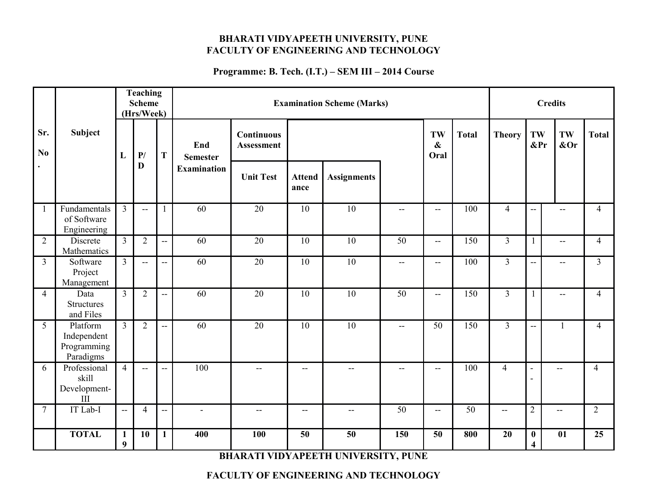#### **BHARATI VIDYAPEETH UNIVERSITY, PUNE FACULTY OF ENGINEERING AND TECHNOLOGY**

#### **Programme: B. Tech. (I.T.) – SEM III – 2014 Course**

|                |                                                             |                   | <b>Teaching</b><br><b>Scheme</b><br>(Hrs/Week) |                          | <b>Examination Scheme (Marks)</b> |                                        |                       |                    |                          |                                 | <b>Credits</b> |                |                                            |                          |                |
|----------------|-------------------------------------------------------------|-------------------|------------------------------------------------|--------------------------|-----------------------------------|----------------------------------------|-----------------------|--------------------|--------------------------|---------------------------------|----------------|----------------|--------------------------------------------|--------------------------|----------------|
| Sr.<br>No      | <b>Subject</b>                                              | L                 | P/                                             | $\mathbf T$              | End<br><b>Semester</b>            | <b>Continuous</b><br><b>Assessment</b> |                       |                    |                          | TW<br>$\boldsymbol{\&}$<br>Oral | <b>Total</b>   | <b>Theory</b>  | TW<br>⪻                                    | TW<br>⩔                  | <b>Total</b>   |
| $\bullet$      |                                                             |                   | D                                              |                          | <b>Examination</b>                | <b>Unit Test</b>                       | <b>Attend</b><br>ance | <b>Assignments</b> |                          |                                 |                |                |                                            |                          |                |
| $\mathbf{1}$   | Fundamentals<br>of Software<br>Engineering                  | 3                 | $\mathbf{u}$                                   | 1                        | 60                                | 20                                     | 10                    | 10                 | $-$                      | $\overline{a}$                  | 100            | $\overline{4}$ | $\overline{a}$                             | $-$                      | $\overline{4}$ |
| $\overline{2}$ | Discrete<br>Mathematics                                     | $\overline{3}$    | $\overline{2}$                                 | $\overline{a}$           | 60                                | 20                                     | 10                    | 10                 | 50                       | $\overline{\phantom{a}}$        | 150            | $\overline{3}$ | $\mathbf{1}$                               | $\overline{\phantom{a}}$ | $\overline{4}$ |
| $\overline{3}$ | Software<br>Project<br>Management                           | $\overline{3}$    | $-$                                            | $-$                      | $\overline{60}$                   | 20                                     | 10                    | 10                 | --                       | $-$                             | 100            | $\overline{3}$ | --                                         | --                       | $\overline{3}$ |
| $\overline{4}$ | Data<br><b>Structures</b><br>and Files                      | $\overline{3}$    | $\overline{2}$                                 | $-$                      | 60                                | 20                                     | 10                    | 10                 | 50                       | $\overline{\phantom{a}}$        | 150            | $\overline{3}$ | $\mathbf{1}$                               | $\overline{\phantom{a}}$ | $\overline{4}$ |
| 5              | Platform<br>Independent<br>Programming<br>Paradigms         | $\overline{3}$    | $\overline{2}$                                 | $\overline{a}$           | 60                                | 20                                     | 10                    | 10                 | $\overline{\phantom{a}}$ | 50                              | 150            | 3 <sup>2</sup> | $\overline{\phantom{a}}$                   | 1                        | $\overline{4}$ |
| 6              | Professional<br>skill<br>Development-<br>$\mathop{\rm III}$ | $\overline{4}$    | $\overline{a}$                                 | $\overline{a}$           | 100                               | $-$                                    | $-$                   | $-$                | $- -$                    | --                              | 100            | $\overline{4}$ | $\overline{\phantom{a}}$<br>$\blacksquare$ | --                       | $\overline{4}$ |
| $\overline{7}$ | IT Lab-I                                                    | $\overline{a}$    | $\overline{4}$                                 | $\overline{\phantom{a}}$ | $\blacksquare$                    | $\mathbf{u}$                           | --                    | $- -$              | 50                       | --                              | 50             | $-$            | $\overline{2}$                             | $ \!-$                   | $\overline{2}$ |
|                | <b>TOTAL</b>                                                | $\mathbf{1}$<br>9 | 10                                             | $\mathbf{1}$             | 400                               | 100                                    | 50                    | 50                 | 150                      | 50                              | 800            | 20             | $\pmb{0}$<br>$\overline{\mathbf{4}}$       | 01                       | 25             |

**BHARATI VIDYAPEETH UNIVERSITY, PUNE**

#### **FACULTY OF ENGINEERING AND TECHNOLOGY**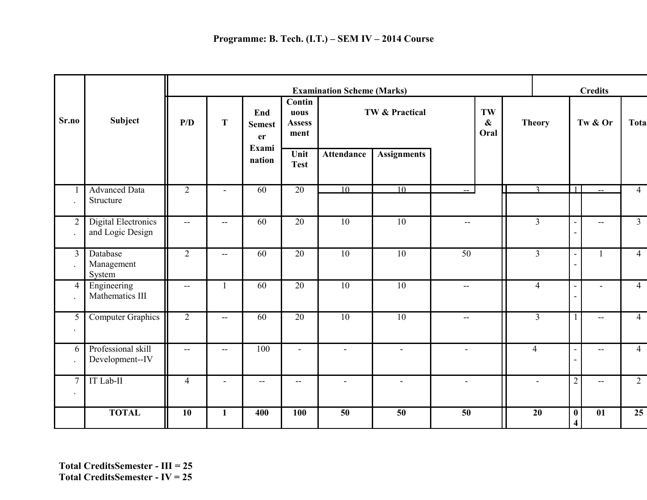|                                        |                                                | <b>Examination Scheme (Marks)</b> |                          |                                               |                                                                       |                   |                                                 | <b>Credits</b>                  |  |                |                                     |                          |                |
|----------------------------------------|------------------------------------------------|-----------------------------------|--------------------------|-----------------------------------------------|-----------------------------------------------------------------------|-------------------|-------------------------------------------------|---------------------------------|--|----------------|-------------------------------------|--------------------------|----------------|
| Sr.no                                  | <b>Subject</b>                                 | P/D                               | T                        | End<br><b>Semest</b><br>er<br>Exami<br>nation | <b>Contin</b><br>uous<br><b>Assess</b><br>ment<br>Unit<br><b>Test</b> | <b>Attendance</b> | <b>TW &amp; Practical</b><br><b>Assignments</b> | TW<br>$\boldsymbol{\&}$<br>Oral |  | <b>Theory</b>  |                                     | Tw & Or                  | <b>Total</b>   |
|                                        | <b>Advanced Data</b><br>Structure              | $\overline{2}$                    | $\blacksquare$           | 60                                            | 20                                                                    | 10                | 10                                              |                                 |  | $\mathbf{r}$   | $\mathbf{1}$                        |                          | $\overline{4}$ |
| $\overline{2}$<br>$\ddot{\phantom{a}}$ | <b>Digital Electronics</b><br>and Logic Design | $- -$                             | $\overline{\phantom{a}}$ | 60                                            | 20                                                                    | 10                | 10                                              | $\overline{\phantom{m}}$        |  | $\overline{3}$ | $\blacksquare$                      | $\overline{a}$           | $\overline{3}$ |
| $\overline{3}$                         | Database<br>Management<br>System               | 2                                 | $-$                      | 60                                            | $\overline{20}$                                                       | $\overline{10}$   | $\overline{10}$                                 | $\overline{50}$                 |  | $\overline{3}$ | $\blacksquare$                      | $\mathbf{1}$             | $\overline{4}$ |
| $\overline{4}$                         | Engineering<br>Mathematics III                 | $\overline{\phantom{m}}$          | $\mathbf{1}$             | 60                                            | $\overline{20}$                                                       | $\overline{10}$   | $\overline{10}$                                 | --                              |  | $\overline{4}$ | $\overline{\phantom{a}}$            |                          | $\overline{4}$ |
| 5<br>$\cdot$                           | <b>Computer Graphics</b>                       | $\overline{2}$                    | $\overline{\phantom{a}}$ | 60                                            | $\overline{20}$                                                       | 10                | 10                                              | $- -$                           |  | $\overline{3}$ |                                     | $- -$                    | $\overline{4}$ |
| 6<br>$\ddot{\phantom{1}}$              | Professional skill<br>Development--IV          | $\overline{\phantom{m}}$          | --                       | 100                                           | $\blacksquare$                                                        | $\blacksquare$    | $\overline{\phantom{a}}$                        | $\blacksquare$                  |  | $\overline{4}$ | ÷,                                  | $\qquad \qquad -$        | $\overline{4}$ |
| $\overline{7}$<br>$\cdot$              | IT Lab-II                                      | $\overline{4}$                    | $\blacksquare$           | $\overline{\phantom{a}}$                      | $\overline{\phantom{a}}$                                              | $\blacksquare$    | $\blacksquare$                                  | $\blacksquare$                  |  |                | $\overline{2}$                      | $\overline{\phantom{a}}$ | $\overline{2}$ |
|                                        | <b>TOTAL</b>                                   | 10                                | $\mathbf{1}$             | 400                                           | 100                                                                   | 50                | 50                                              | 50                              |  | 20             | $\bf{0}$<br>$\overline{\mathbf{4}}$ | 01                       | 25             |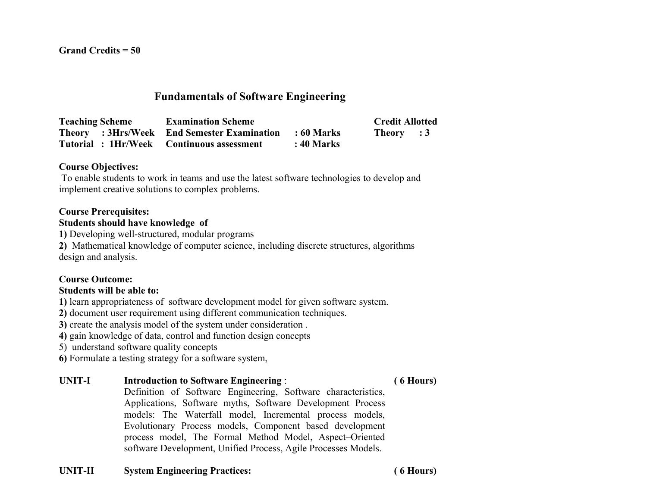**Grand Credits = 50**

# **Fundamentals of Software Engineering**

**Teaching Scheme Examination Scheme Credit Allotted Theory : 3Hrs/Week End Semester Examination : 60 Marks Theory : 3 Tutorial : 1Hr/Week Continuous assessment : 40 Marks**

#### **Course Objectives:**

 To enable students to work in teams and use the latest software technologies to develop and implement creative solutions to complex problems.

#### **Course Prerequisites:**

#### **Students should have knowledge of**

**1)** Developing well-structured, modular programs

**2)** Mathematical knowledge of computer science, including discrete structures, algorithms design and analysis.

#### **Course Outcome:**

#### **Students will be able to:**

**1)** learn appropriateness of software development model for given software system.

**2)** document user requirement using different communication techniques.

**3)** create the analysis model of the system under consideration .

**4)** gain knowledge of data, control and function design concepts

5) understand software quality concepts

**6)** Formulate a testing strategy for a software system,

#### **UNIT-I Introduction to Software Engineering** : **( 6 Hours)**

Definition of Software Engineering, Software characteristics, Applications, Software myths, Software Development Process models: The Waterfall model, Incremental process models, Evolutionary Process models, Component based development process model, The Formal Method Model, Aspect–Oriented software Development, Unified Process, Agile Processes Models.

#### **UNIT-II System Engineering Practices: ( 6 Hours)**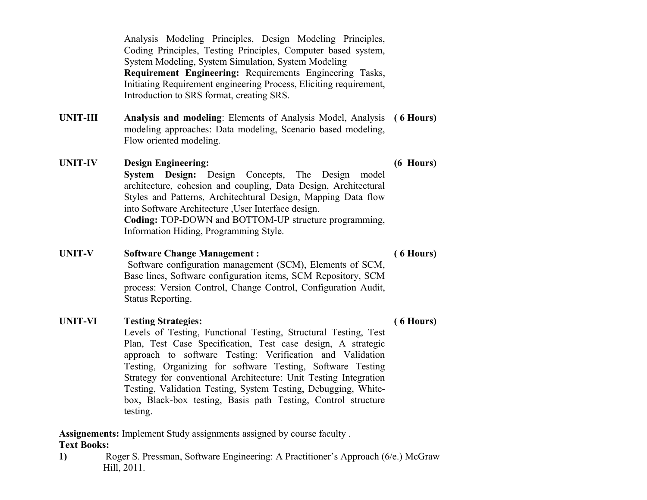Analysis Modeling Principles, Design Modeling Principles, Coding Principles, Testing Principles, Computer based system, System Modeling, System Simulation, System Modeling **Requirement Engineering:** Requirements Engineering Tasks, Initiating Requirement engineering Process, Eliciting requirement, Introduction to SRS format, creating SRS.

- **UNIT-III Analysis and modeling**: Elements of Analysis Model, Analysis **( 6 Hours)** modeling approaches: Data modeling, Scenario based modeling, Flow oriented modeling.
- **UNIT-IV Design Engineering: (6 Hours) System Design:** Design Concepts, The Design model architecture, cohesion and coupling, Data Design, Architectural Styles and Patterns, Architechtural Design, Mapping Data flow into Software Architecture ,User Interface design. **Coding:** TOP-DOWN and BOTTOM-UP structure programming, Information Hiding, Programming Style.
- **UNIT-V Software Change Management : ( 6 Hours)**

 Software configuration management (SCM), Elements of SCM, Base lines, Software configuration items, SCM Repository, SCM process: Version Control, Change Control, Configuration Audit, Status Reporting.

#### **UNIT-VI Testing Strategies: ( 6 Hours)**

Levels of Testing, Functional Testing, Structural Testing, Test Plan, Test Case Specification, Test case design, A strategic approach to software Testing: Verification and Validation Testing, Organizing for software Testing, Software Testing Strategy for conventional Architecture: Unit Testing Integration Testing, Validation Testing, System Testing, Debugging, Whitebox, Black-box testing, Basis path Testing, Control structure testing.

**Assignements:** Implement Study assignments assigned by course faculty . **Text Books:**

**1)** Roger S. Pressman, Software Engineering: A Practitioner's Approach (6/e.) McGraw Hill, 2011.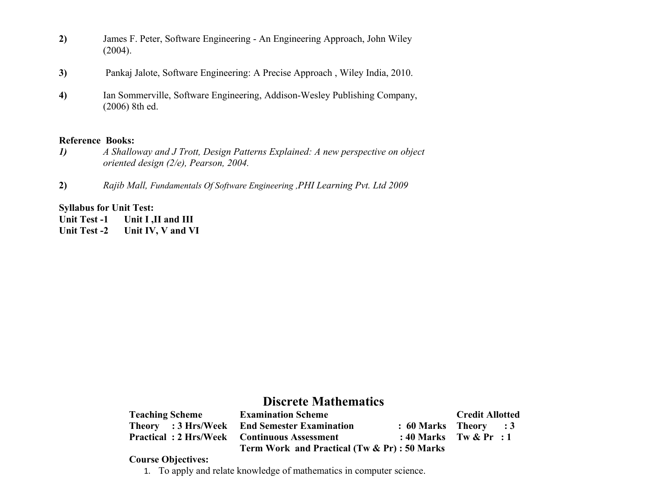- **2)** James F. Peter, Software Engineering An Engineering Approach, John Wiley (2004).
- **3)** Pankaj Jalote, Software Engineering: A Precise Approach , Wiley India, 2010.
- **4)** Ian Sommerville, Software Engineering, Addison-Wesley Publishing Company, (2006) 8th ed.

#### **Reference Books:**

- *1) A Shalloway and J Trott, Design Patterns Explained: A new perspective on object oriented design (2/e), Pearson, 2004.*
- **2)** *Rajib Mall, Fundamentals Of Software Engineering ,PHI Learning Pvt. Ltd 2009*

#### **Syllabus for Unit Test:**

**Unit Test -1 Unit I ,II and III**

**Unit Test -2 Unit IV, V and VI**

# **Discrete Mathematics**

| <b>Teaching Scheme</b> | <b>Examination Scheme</b>                          |                           | <b>Credit Allotted</b> |  |
|------------------------|----------------------------------------------------|---------------------------|------------------------|--|
| Theory : 3 Hrs/Week    | <b>End Semester Examination</b>                    | $: 60$ Marks Theory $: 3$ |                        |  |
|                        | <b>Practical: 2 Hrs/Week Continuous Assessment</b> | : 40 Marks Tw $\&$ Pr : 1 |                        |  |
|                        | Term Work and Practical (Tw & Pr) : 50 Marks       |                           |                        |  |

#### **Course Objectives:**

1. To apply and relate knowledge of mathematics in computer science.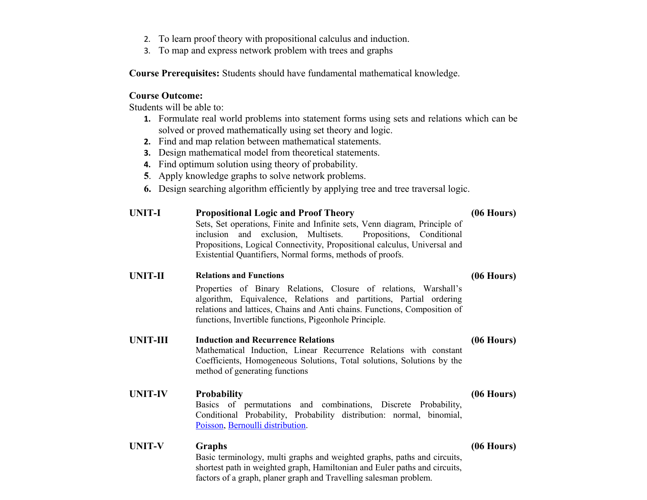- 2. To learn proof theory with propositional calculus and induction.
- 3. To map and express network problem with trees and graphs

**Course Prerequisites:** Students should have fundamental mathematical knowledge.

#### **Course Outcome:**

Students will be able to:

- **1.** Formulate real world problems into statement forms using sets and relations which can be solved or proved mathematically using set theory and logic.
- **2.** Find and map relation between mathematical statements.
- **3.** Design mathematical model from theoretical statements.
- **4.** Find optimum solution using theory of probability.
- **5**. Apply knowledge graphs to solve network problems.
- **6.** Design searching algorithm efficiently by applying tree and tree traversal logic.

| <b>UNIT-I</b>   | <b>Propositional Logic and Proof Theory</b><br>Sets, Set operations, Finite and Infinite sets, Venn diagram, Principle of<br>inclusion and exclusion, Multisets.<br>Propositions, Conditional<br>Propositions, Logical Connectivity, Propositional calculus, Universal and<br>Existential Quantifiers, Normal forms, methods of proofs. | $(06$ Hours) |
|-----------------|-----------------------------------------------------------------------------------------------------------------------------------------------------------------------------------------------------------------------------------------------------------------------------------------------------------------------------------------|--------------|
| <b>UNIT-II</b>  | <b>Relations and Functions</b>                                                                                                                                                                                                                                                                                                          | $(06$ Hours) |
|                 | Properties of Binary Relations, Closure of relations, Warshall's<br>algorithm, Equivalence, Relations and partitions, Partial ordering<br>relations and lattices, Chains and Anti chains. Functions, Composition of<br>functions, Invertible functions, Pigeonhole Principle.                                                           |              |
| <b>UNIT-III</b> | <b>Induction and Recurrence Relations</b><br>Mathematical Induction, Linear Recurrence Relations with constant<br>Coefficients, Homogeneous Solutions, Total solutions, Solutions by the<br>method of generating functions                                                                                                              | $(06$ Hours) |
| <b>UNIT-IV</b>  | <b>Probability</b><br>Basics of permutations and combinations, Discrete Probability,<br>Conditional Probability, Probability distribution: normal, binomial,<br>Poisson, Bernoulli distribution.                                                                                                                                        | $(06$ Hours) |
| <b>UNIT-V</b>   | <b>Graphs</b><br>Basic terminology, multi graphs and weighted graphs, paths and circuits,<br>shortest path in weighted graph, Hamiltonian and Euler paths and circuits,<br>factors of a graph, planer graph and Travelling salesman problem.                                                                                            | $(06$ Hours) |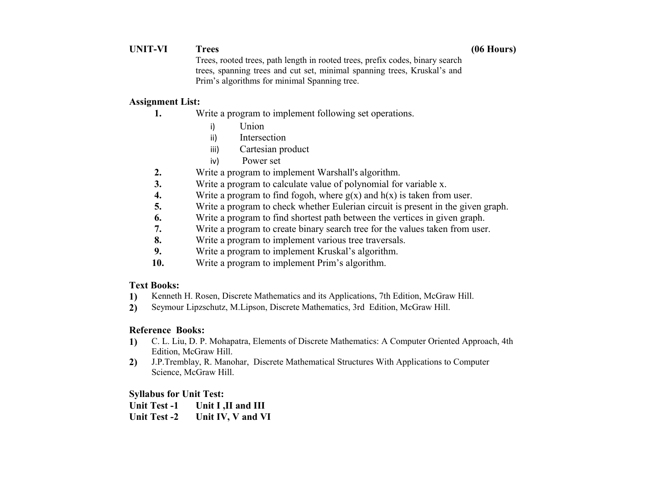#### **UNIT-VI Trees (06 Hours)**

Trees, rooted trees, path length in rooted trees, prefix codes, binary search trees, spanning trees and cut set, minimal spanning trees, Kruskal's and Prim's algorithms for minimal Spanning tree.

#### **Assignment List:**

- **1.** Write a program to implement following set operations.
	- i) Union
	- ii) Intersection
	- iii) Cartesian product
	- iv) Power set
- **2.** Write a program to implement Warshall's algorithm.
- **3.** Write a program to calculate value of polynomial for variable x.
- **4.** Write a program to find fogoh, where  $g(x)$  and  $h(x)$  is taken from user.
- **5.** Write a program to check whether Eulerian circuit is present in the given graph.
- **6.** Write a program to find shortest path between the vertices in given graph.
- **7.** Write a program to create binary search tree for the values taken from user.
- **8.** Write a program to implement various tree traversals.
- **9.** Write a program to implement Kruskal's algorithm.
- **10.** Write a program to implement Prim's algorithm.

#### **Text Books:**

- **1)** Kenneth H. Rosen, Discrete Mathematics and its Applications, 7th Edition, McGraw Hill.
- **2)** Seymour Lipzschutz, M.Lipson, Discrete Mathematics, 3rd Edition, McGraw Hill.

### **Reference Books:**

- **1)** C. L. Liu, D. P. Mohapatra, Elements of Discrete Mathematics: A Computer Oriented Approach, 4th Edition, McGraw Hill.
- **2)** J.P.Tremblay, R. Manohar, Discrete Mathematical Structures With Applications to Computer Science, McGraw Hill.

#### **Syllabus for Unit Test:**

| <b>Unit Test -1</b> | Unit I ,II and III |
|---------------------|--------------------|
| <b>Unit Test -2</b> | Unit IV, V and VI  |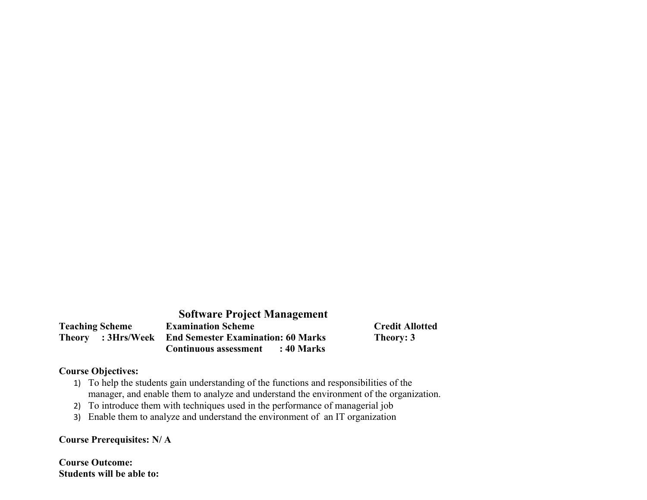|                        |                    | <b>Software Project Management</b>        |  |
|------------------------|--------------------|-------------------------------------------|--|
| <b>Teaching Scheme</b> |                    | <b>Examination Scheme</b>                 |  |
|                        | Theory : 3Hrs/Week | <b>End Semester Examination: 60 Marks</b> |  |
|                        |                    | <b>Continuous assessment</b> : 40 Marks   |  |

# **Credit Allotted Theory: 3**

#### **Course Objectives:**

- 1) To help the students gain understanding of the functions and responsibilities of the manager, and enable them to analyze and understand the environment of the organization.
- 2) To introduce them with techniques used in the performance of managerial job
- 3) Enable them to analyze and understand the environment of an IT organization

#### **Course Prerequisites: N/ A**

**Course Outcome: Students will be able to:**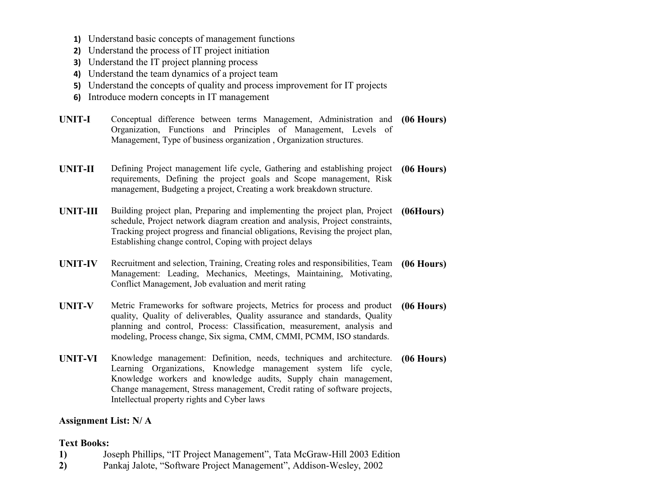- **1)** Understand basic concepts of management functions
- **2)** Understand the process of IT project initiation
- **3)** Understand the IT project planning process
- **4)** Understand the team dynamics of a project team
- **5)** Understand the concepts of quality and process improvement for IT projects
- **6)** Introduce modern concepts in IT management
- **UNIT-I** Conceptual difference between terms Management, Administration and Organization, Functions and Principles of Management, Levels of Management, Type of business organization , Organization structures. **(06 Hours)**
- **UNIT-II** Defining Project management life cycle, Gathering and establishing project **(06 Hours)** requirements, Defining the project goals and Scope management, Risk management, Budgeting a project, Creating a work breakdown structure.
- **UNIT-III** Building project plan, Preparing and implementing the project plan, Project **(06Hours)** schedule, Project network diagram creation and analysis, Project constraints, Tracking project progress and financial obligations, Revising the project plan, Establishing change control, Coping with project delays
- **UNIT-IV** Recruitment and selection, Training, Creating roles and responsibilities, Team **(06 Hours)** Management: Leading, Mechanics, Meetings, Maintaining, Motivating, Conflict Management, Job evaluation and merit rating
- **UNIT-V** Metric Frameworks for software projects, Metrics for process and product **(06 Hours)** quality, Quality of deliverables, Quality assurance and standards, Quality planning and control, Process: Classification, measurement, analysis and modeling, Process change, Six sigma, CMM, CMMI, PCMM, ISO standards.
- **UNIT-VI** Knowledge management: Definition, needs, techniques and architecture. **(06 Hours)** Learning Organizations, Knowledge management system life cycle, Knowledge workers and knowledge audits, Supply chain management, Change management, Stress management, Credit rating of software projects, Intellectual property rights and Cyber laws

#### **Assignment List: N/ A**

#### **Text Books:**

- **1)** Joseph Phillips, "IT Project Management", Tata McGraw-Hill 2003 Edition
- **2)** Pankaj Jalote, "Software Project Management", Addison-Wesley, 2002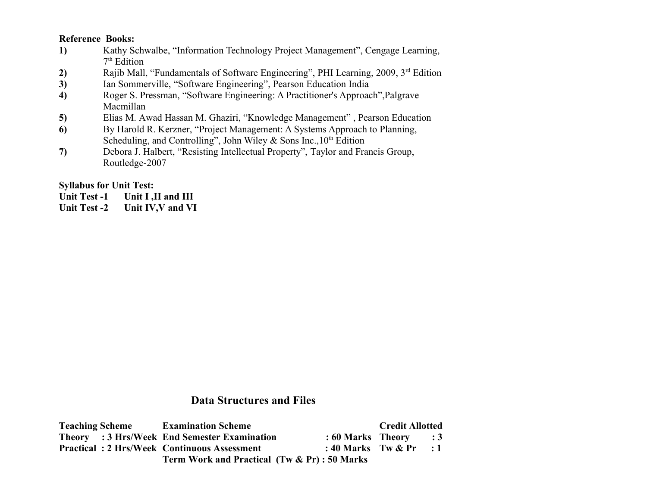#### **Reference Books:**

- **1)** Kathy Schwalbe, "Information Technology Project Management", Cengage Learning, 7 th Edition
- 2) Rajib Mall, "Fundamentals of Software Engineering", PHI Learning, 2009, 3<sup>rd</sup> Edition
- **3)** Ian Sommerville, "Software Engineering", Pearson Education India
- **4)** Roger S. Pressman, "Software Engineering: A Practitioner's Approach",Palgrave Macmillan
- **5)** Elias M. Awad Hassan M. Ghaziri, "Knowledge Management" , Pearson Education
- **6)** By Harold R. Kerzner, "Project Management: A Systems Approach to Planning, Scheduling, and Controlling", John Wiley & Sons Inc.,  $10<sup>th</sup>$  Edition
- **7)** Debora J. Halbert, "Resisting Intellectual Property", Taylor and Francis Group, Routledge-2007

#### **Syllabus for Unit Test:**

- Unit Test -1 Unit I ,II and III
- **Unit Test -2 Unit IV,V and VI**

# **Data Structures and Files**

| <b>Teaching Scheme</b>                             | <b>Examination Scheme</b>                           |                           | <b>Credit Allotted</b> |  |
|----------------------------------------------------|-----------------------------------------------------|---------------------------|------------------------|--|
|                                                    | <b>Theory</b> : 3 Hrs/Week End Semester Examination | $: 60$ Marks Theory $: 3$ |                        |  |
| <b>Practical: 2 Hrs/Week Continuous Assessment</b> |                                                     | : 40 Marks Tw $\&$ Pr : 1 |                        |  |
|                                                    | Term Work and Practical (Tw & Pr): 50 Marks         |                           |                        |  |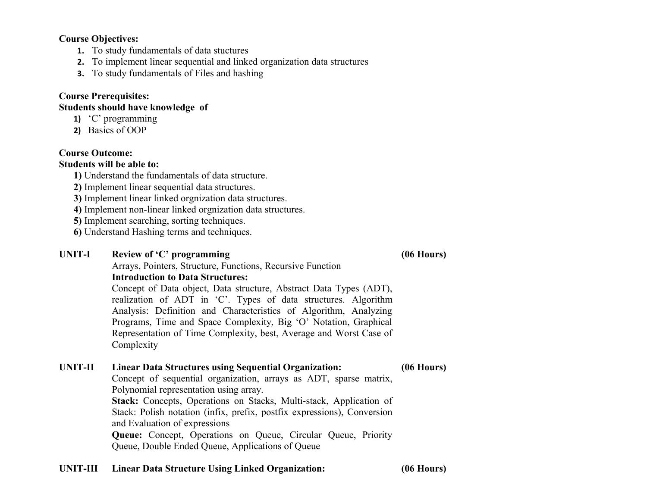#### **Course Objectives:**

- **1.** To study fundamentals of data stuctures
- **2.** To implement linear sequential and linked organization data structures
- **3.** To study fundamentals of Files and hashing

#### **Course Prerequisites:**

### **Students should have knowledge of**

- **1)** 'C' programming
- **2)** Basics of OOP

#### **Course Outcome:**

#### **Students will be able to:**

- **1)** Understand the fundamentals of data structure.
- **2)** Implement linear sequential data structures.
- **3)** Implement linear linked orgnization data structures.
- **4)** Implement non-linear linked orgnization data structures.
- **5)** Implement searching, sorting techniques.
- **6)** Understand Hashing terms and techniques.

#### **UNIT-I Review of 'C' programming** Arrays, Pointers, Structure, Functions, Recursive Function

**(06 Hours)**

**Introduction to Data Structures:** Concept of Data object, Data structure, Abstract Data Types (ADT), realization of ADT in 'C'. Types of data structures. Algorithm Analysis: Definition and Characteristics of Algorithm, Analyzing Programs, Time and Space Complexity, Big 'O' Notation, Graphical Representation of Time Complexity, best, Average and Worst Case of Complexity

# **UNIT-II Linear Data Structures using Sequential Organization:**

**(06 Hours)**

Concept of sequential organization, arrays as ADT, sparse matrix, Polynomial representation using array.

**Stack:** Concepts, Operations on Stacks, Multi-stack, Application of Stack: Polish notation (infix, prefix, postfix expressions), Conversion and Evaluation of expressions

**Queue:** Concept, Operations on Queue, Circular Queue, Priority Queue, Double Ended Queue, Applications of Queue

#### **UNIT-III Linear Data Structure Using Linked Organization: (06 Hours)**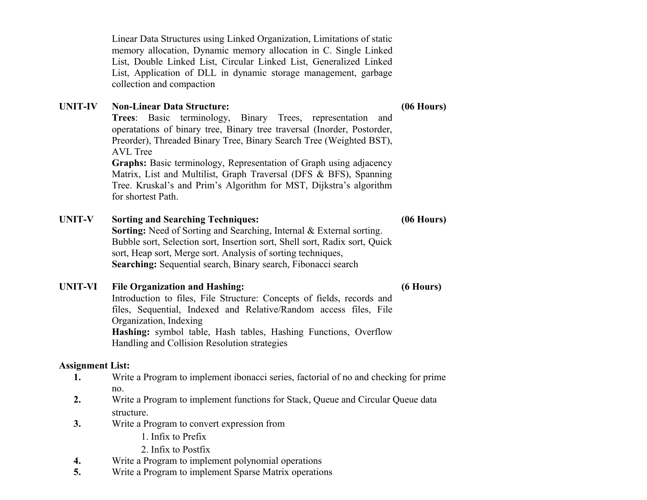Linear Data Structures using Linked Organization, Limitations of static memory allocation, Dynamic memory allocation in C. Single Linked List, Double Linked List, Circular Linked List, Generalized Linked List, Application of DLL in dynamic storage management, garbage collection and compaction

#### **UNIT-IV Non-Linear Data Structure:**

**Trees**: Basic terminology, Binary Trees, representation and operatations of binary tree, Binary tree traversal (Inorder, Postorder, Preorder), Threaded Binary Tree, Binary Search Tree (Weighted BST), AVL Tree

**Graphs:** Basic terminology, Representation of Graph using adjacency Matrix, List and Multilist, Graph Traversal (DFS & BFS), Spanning Tree. Kruskal's and Prim's Algorithm for MST, Dijkstra's algorithm for shortest Path.

#### **UNIT-V Sorting and Searching Techniques:**

#### **(06 Hours)**

**Sorting:** Need of Sorting and Searching, Internal & External sorting. Bubble sort, Selection sort, Insertion sort, Shell sort, Radix sort, Quick sort, Heap sort, Merge sort. Analysis of sorting techniques, **Searching:** Sequential search, Binary search, Fibonacci search

#### **UNIT-VI File Organization and Hashing:**

**(6 Hours)**

Introduction to files, File Structure: Concepts of fields, records and files, Sequential, Indexed and Relative/Random access files, File Organization, Indexing **Hashing:** symbol table, Hash tables, Hashing Functions, Overflow Handling and Collision Resolution strategies

#### **Assignment List:**

- **1.** Write a Program to implement ibonacci series, factorial of no and checking for prime no.
- **2.** Write a Program to implement functions for Stack, Queue and Circular Queue data structure.
- **3.** Write a Program to convert expression from
	- 1. Infix to Prefix
	- 2. Infix to Postfix
- **4.** Write a Program to implement polynomial operations
- **5.** Write a Program to implement Sparse Matrix operations

#### **(06 Hours)**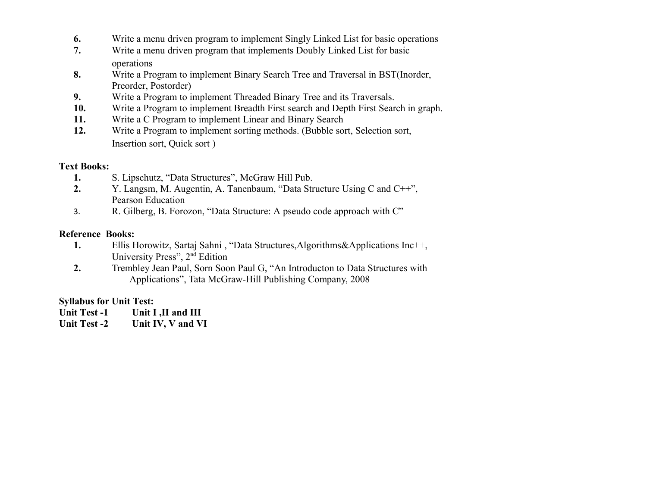- **6.** Write a menu driven program to implement Singly Linked List for basic operations
- **7.** Write a menu driven program that implements Doubly Linked List for basic operations
- **8.** Write a Program to implement Binary Search Tree and Traversal in BST(Inorder, Preorder, Postorder)
- **9.** Write a Program to implement Threaded Binary Tree and its Traversals.
- **10.** Write a Program to implement Breadth First search and Depth First Search in graph.
- **11.** Write a C Program to implement Linear and Binary Search
- **12.** Write a Program to implement sorting methods. (Bubble sort, Selection sort, Insertion sort, Quick sort )

#### **Text Books:**

- **1.** S. Lipschutz, "Data Structures", McGraw Hill Pub.
- **2.** Y. Langsm, M. Augentin, A. Tanenbaum, "Data Structure Using C and C++", Pearson Education
- 3. R. Gilberg, B. Forozon, "Data Structure: A pseudo code approach with C"

#### **Reference Books:**

- **1.** Ellis Horowitz, Sartaj Sahni, "Data Structures, Algorithms & Applications Inc++, University Press", 2nd Edition
- **2.** [Trembley Jean Paul,](https://www.google.co.in/search?tbo=p&tbm=bks&q=inauthor:%22Trembley+Jean+Paul%22) [Sorn Soon Paul G,](https://www.google.co.in/search?tbo=p&tbm=bks&q=inauthor:%22Sorn+Soon+Paul+G.%22) "An Introducton to Data Structures with Applications", Tata McGraw-Hill Publishing Company, 2008

#### **Syllabus for Unit Test:**

- Unit Test -1 Unit I ,II and III
- **Unit Test -2 Unit IV, V and VI**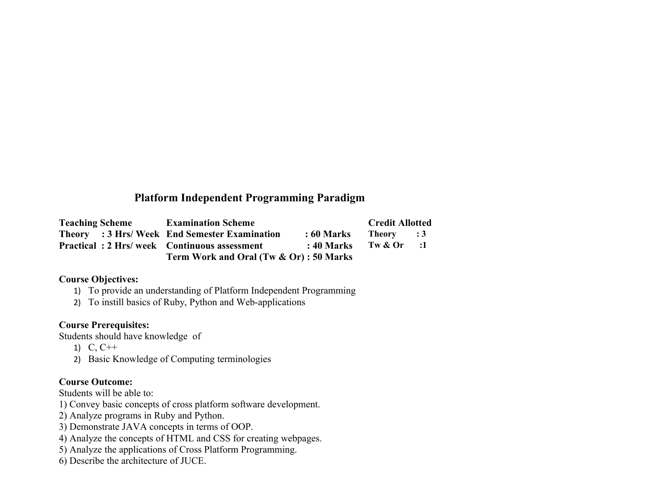# **Platform Independent Programming Paradigm**

| <b>Teaching Scheme</b>                             | <b>Examination Scheme</b>                     |              | <b>Credit Allotted</b> |      |
|----------------------------------------------------|-----------------------------------------------|--------------|------------------------|------|
|                                                    | Theory : 3 Hrs/ Week End Semester Examination | : 60 Marks   | Theory : 3             |      |
| <b>Practical: 2 Hrs/week Continuous assessment</b> |                                               | $: 40$ Marks | Tw & Or                | - :1 |
|                                                    | Term Work and Oral (Tw & Or) : 50 Marks       |              |                        |      |

#### **Course Objectives:**

- 1) To provide an understanding of Platform Independent Programming
- 2) To instill basics of Ruby, Python and Web-applications

#### **Course Prerequisites:**

Students should have knowledge of

- 1) C, C++
- 2) Basic Knowledge of Computing terminologies

### **Course Outcome:**

Students will be able to:

- 1) Convey basic concepts of cross platform software development.
- 2) Analyze programs in Ruby and Python.
- 3) Demonstrate JAVA concepts in terms of OOP.
- 4) Analyze the concepts of HTML and CSS for creating webpages.
- 5) Analyze the applications of Cross Platform Programming.
- 6) Describe the architecture of JUCE.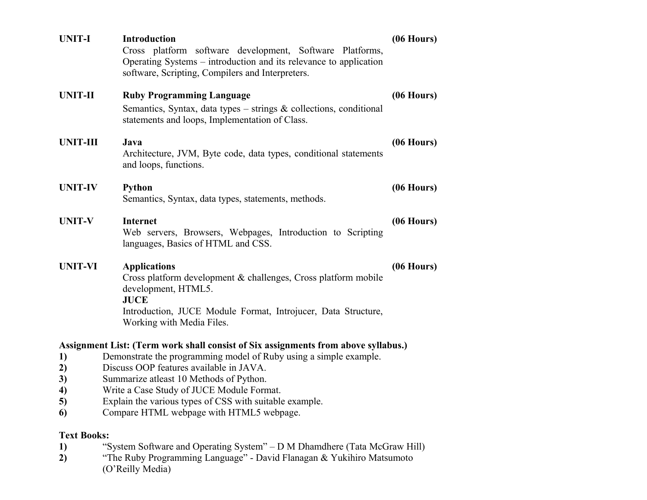| <b>UNIT-I</b>                  | Introduction<br>Cross platform software development, Software Platforms,<br>Operating Systems – introduction and its relevance to application<br>software, Scripting, Compilers and Interpreters.                         | $(06$ Hours) |
|--------------------------------|---------------------------------------------------------------------------------------------------------------------------------------------------------------------------------------------------------------------------|--------------|
| <b>UNIT-II</b>                 | <b>Ruby Programming Language</b><br>Semantics, Syntax, data types – strings $\&$ collections, conditional<br>statements and loops, Implementation of Class.                                                               | $(06$ Hours) |
| <b>UNIT-III</b>                | Java<br>Architecture, JVM, Byte code, data types, conditional statements<br>and loops, functions.                                                                                                                         | $(06$ Hours) |
| <b>UNIT-IV</b>                 | <b>Python</b><br>Semantics, Syntax, data types, statements, methods.                                                                                                                                                      | $(06$ Hours) |
| <b>UNIT-V</b>                  | <b>Internet</b><br>Web servers, Browsers, Webpages, Introduction to Scripting<br>languages, Basics of HTML and CSS.                                                                                                       | $(06$ Hours) |
| <b>UNIT-VI</b>                 | <b>Applications</b><br>Cross platform development & challenges, Cross platform mobile<br>development, HTML5.<br><b>JUCE</b><br>Introduction, JUCE Module Format, Introjucer, Data Structure,<br>Working with Media Files. | $(06$ Hours) |
|                                | Assignment List: (Term work shall consist of Six assignments from above syllabus.)                                                                                                                                        |              |
| 1)                             | Demonstrate the programming model of Ruby using a simple example.<br>Discuss OOP features available in JAVA.                                                                                                              |              |
| 2)<br>3)                       | Summarize at least 10 Methods of Python.                                                                                                                                                                                  |              |
| 4)                             | Write a Case Study of JUCE Module Format.                                                                                                                                                                                 |              |
| $\mathcal{D}$<br>6             | Explain the various types of CSS with suitable example.<br>Compare HTML webpage with HTML5 webpage.                                                                                                                       |              |
| <b>Text Books:</b><br>1)<br>2) | "System Software and Operating System" - D M Dhamdhere (Tata McGraw Hill)<br>"The Ruby Programming Language" - David Flanagan & Yukihiro Matsumoto<br>(O'Reilly Media)                                                    |              |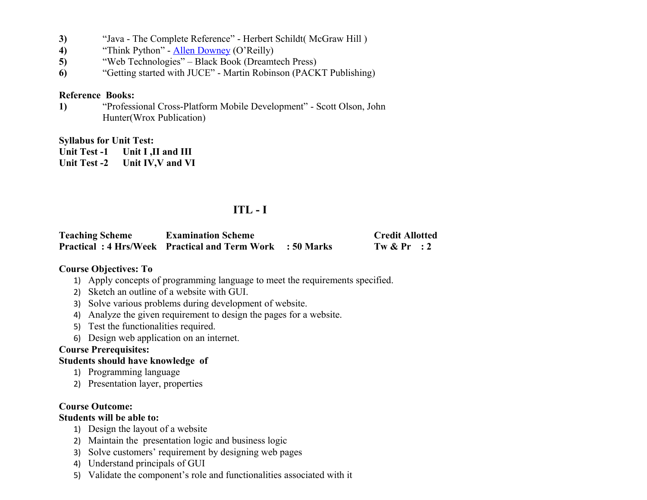- **3)** "Java The Complete Reference" Herbert Schildt( McGraw Hill )
- **4)** "Think Python" - [Allen Downey](http://www.flipkart.com/author/allen-downey) (O'Reilly)
- **5)** "Web Technologies" Black Book (Dreamtech Press)
- **6)** "Getting started with JUCE" Martin Robinson (PACKT Publishing)

#### **Reference Books:**

**1)** "Professional Cross-Platform Mobile Development" - Scott Olson, John Hunter(Wrox Publication)

#### **Syllabus for Unit Test:**

**Unit Test -1 Unit I ,II and III**

**Unit Test -2 Unit IV,V and VI**

# **ITL - I**

| <b>Teaching Scheme</b> | <b>Examination Scheme</b>                                      | <b>Credit Allotted</b> |
|------------------------|----------------------------------------------------------------|------------------------|
|                        | <b>Practical: 4 Hrs/Week Practical and Term Work: 50 Marks</b> | Tw $\&$ Pr : 2         |

#### **Course Objectives: To**

- 1) Apply concepts of programming language to meet the requirements specified.
- 2) Sketch an outline of a website with GUI.
- 3) Solve various problems during development of website.
- 4) Analyze the given requirement to design the pages for a website.
- 5) Test the functionalities required.
- 6) Design web application on an internet.

#### **Course Prerequisites:**

#### **Students should have knowledge of**

- 1) Programming language
- 2) Presentation layer, properties

#### **Course Outcome:**

#### **Students will be able to:**

- 1) Design the layout of a website
- 2) Maintain the presentation logic and business logic
- 3) Solve customers' requirement by designing web pages
- 4) Understand principals of GUI
- 5) Validate the component's role and functionalities associated with it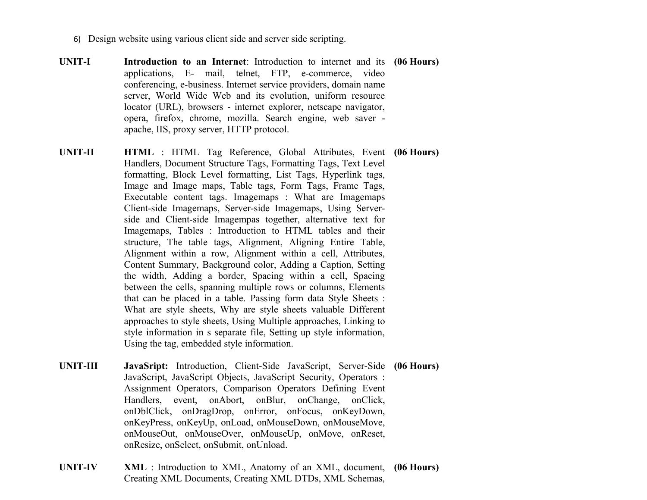- 6) Design website using various client side and server side scripting.
- **UNIT-I Introduction to an Internet**: Introduction to internet and its **(06 Hours)** applications, E- mail, telnet, FTP, e-commerce, video conferencing, e-business. Internet service providers, domain name server, World Wide Web and its evolution, uniform resource locator (URL), browsers - internet explorer, netscape navigator, opera, firefox, chrome, mozilla. Search engine, web saver apache, IIS, proxy server, HTTP protocol.
- **UNIT-II HTML** : HTML Tag Reference, Global Attributes, Event **(06 Hours)** Handlers, Document Structure Tags, Formatting Tags, Text Level formatting, Block Level formatting, List Tags, Hyperlink tags, Image and Image maps, Table tags, Form Tags, Frame Tags, Executable content tags. Imagemaps : What are Imagemaps Client-side Imagemaps, Server-side Imagemaps, Using Serverside and Client-side Imagempas together, alternative text for Imagemaps, Tables : Introduction to HTML tables and their structure, The table tags, Alignment, Aligning Entire Table, Alignment within a row, Alignment within a cell, Attributes, Content Summary, Background color, Adding a Caption, Setting the width, Adding a border, Spacing within a cell, Spacing between the cells, spanning multiple rows or columns, Elements that can be placed in a table. Passing form data Style Sheets : What are style sheets, Why are style sheets valuable Different approaches to style sheets, Using Multiple approaches, Linking to style information in s separate file, Setting up style information, Using the tag, embedded style information.
- **UNIT-III JavaSript:** Introduction, Client-Side JavaScript, Server-Side **(06 Hours)** JavaScript, JavaScript Objects, JavaScript Security, Operators : Assignment Operators, Comparison Operators Defining Event Handlers, event, onAbort, onBlur, onChange, onClick, onDblClick, onDragDrop, onError, onFocus, onKeyDown, onKeyPress, onKeyUp, onLoad, onMouseDown, onMouseMove, onMouseOut, onMouseOver, onMouseUp, onMove, onReset, onResize, onSelect, onSubmit, onUnload.
- **UNIT-IV XML** : Introduction to XML, Anatomy of an XML, document, **(06 Hours)**Creating XML Documents, Creating XML DTDs, XML Schemas,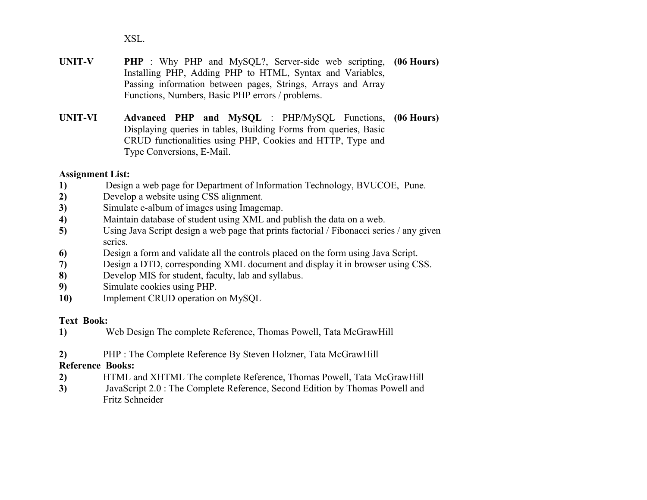XSL.

- **UNIT-V PHP** : Why PHP and MySQL?, Server-side web scripting, Installing PHP, Adding PHP to HTML, Syntax and Variables, Passing information between pages, Strings, Arrays and Array Functions, Numbers, Basic PHP errors / problems. **(06 Hours)**
- **UNIT-VI Advanced PHP and MySQL** : PHP/MySQL Functions, Displaying queries in tables, Building Forms from queries, Basic CRUD functionalities using PHP, Cookies and HTTP, Type and Type Conversions, E-Mail. **(06 Hours)**

#### **Assignment List:**

- **1)** Design a web page for Department of Information Technology, BVUCOE, Pune.
- **2)** Develop a website using CSS alignment.
- **3)** Simulate e-album of images using Imagemap.
- **4)** Maintain database of student using XML and publish the data on a web.
- **5)** Using Java Script design a web page that prints factorial / Fibonacci series / any given series.
- **6)** Design a form and validate all the controls placed on the form using Java Script.
- **7)** Design a DTD, corresponding XML document and display it in browser using CSS.
- **8)** Develop MIS for student, faculty, lab and syllabus.
- **9)** Simulate cookies using PHP.
- **10)** Implement CRUD operation on MySQL

#### **Text Book:**

- **1)** Web Design The complete Reference, Thomas Powell, Tata McGrawHill
- **2)** PHP : The Complete Reference By Steven Holzner, Tata McGrawHill

#### **Reference Books:**

- **2)** HTML and XHTML The complete Reference, Thomas Powell, Tata McGrawHill
- **3)** JavaScript 2.0 : The Complete Reference, Second Edition by Thomas Powell and Fritz Schneider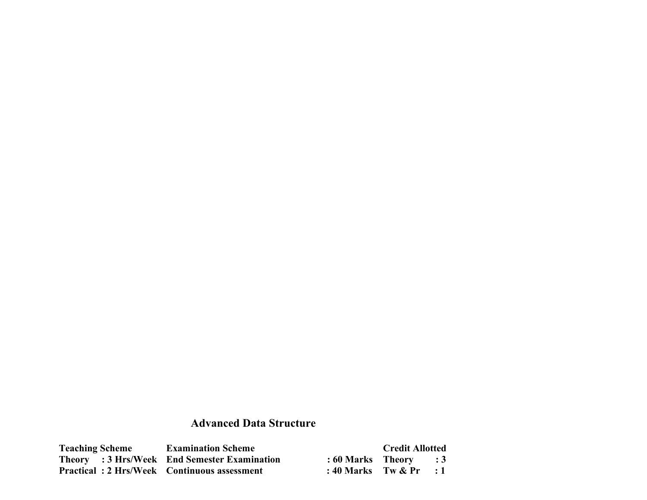# **Advanced Data Structure**

| <b>Teaching Scheme</b>                             | <b>Examination Scheme</b>                    |                           | <b>Credit Allotted</b> |                |
|----------------------------------------------------|----------------------------------------------|---------------------------|------------------------|----------------|
|                                                    | Theory : 3 Hrs/Week End Semester Examination | : 60 Marks Theory         |                        | $\therefore$ 3 |
| <b>Practical: 2 Hrs/Week Continuous assessment</b> |                                              | : 40 Marks Tw $\&$ Pr : 1 |                        |                |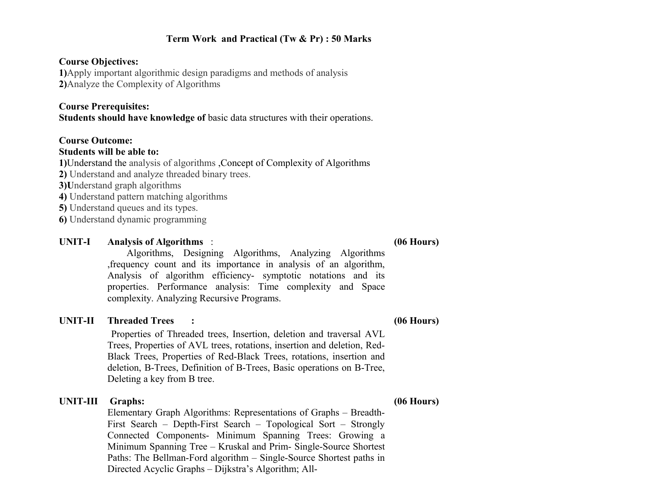#### **Term Work and Practical (Tw & Pr) : 50 Marks**

#### **Course Objectives:**

**1)**Apply important algorithmic design paradigms and methods of analysis **2)**Analyze the Complexity of Algorithms

#### **Course Prerequisites:**

**Students should have knowledge of** basic data structures with their operations.

#### **Course Outcome:**

#### **Students will be able to:**

**1)**Understand the analysis of algorithms ,Concept of Complexity of Algorithms

- **2)** Understand and analyze threaded binary trees.
- **3)U**nderstand graph algorithms
- **4)** Understand pattern matching algorithms
- **5)** Understand queues and its types.
- **6)** Understand dynamic programming

#### **UNIT-I Analysis of Algorithms** : **(06 Hours)**

 Algorithms, Designing Algorithms, Analyzing Algorithms ,frequency count and its importance in analysis of an algorithm, Analysis of algorithm efficiency- symptotic notations and its properties. Performance analysis: Time complexity and Space complexity. Analyzing Recursive Programs.

#### **UNIT-II Threaded Trees : (06 Hours)**

 Properties of Threaded trees, Insertion, deletion and traversal AVL Trees, Properties of AVL trees, rotations, insertion and deletion, Red-Black Trees, Properties of Red-Black Trees, rotations, insertion and deletion, B-Trees, Definition of B-Trees, Basic operations on B-Tree, Deleting a key from B tree.

**UNIT-III Graphs: (06 Hours)** Elementary Graph Algorithms: Representations of Graphs – Breadth-First Search – Depth-First Search – Topological Sort – Strongly Connected Components- Minimum Spanning Trees: Growing a Minimum Spanning Tree – Kruskal and Prim- Single-Source Shortest Paths: The Bellman-Ford algorithm – Single-Source Shortest paths in Directed Acyclic Graphs – Dijkstra's Algorithm; All-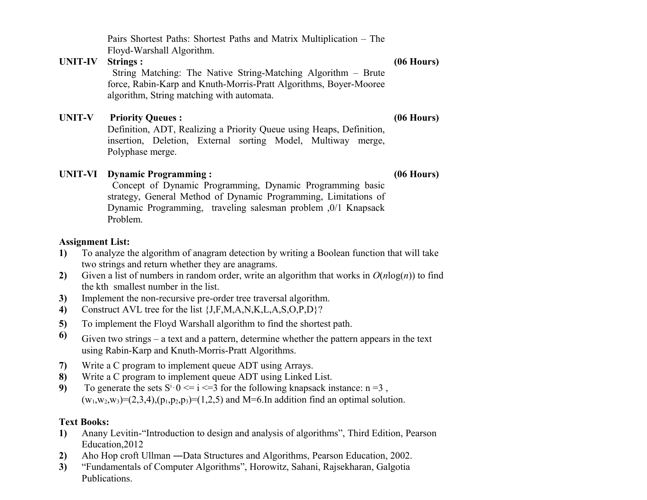Pairs Shortest Paths: Shortest Paths and Matrix Multiplication – The Floyd-Warshall Algorithm.

#### **UNIT-IV Strings : (06 Hours)**

 String Matching: The Native String-Matching Algorithm – Brute force, Rabin-Karp and Knuth-Morris-Pratt Algorithms, Boyer-Mooree algorithm, String matching with automata.

#### **UNIT-V Priority Queues : (06 Hours)**

Definition, ADT, Realizing a Priority Queue using Heaps, Definition, insertion, Deletion, External sorting Model, Multiway merge, Polyphase merge.

### **UNIT-VI Dynamic Programming : (06 Hours)**

 Concept of Dynamic Programming, Dynamic Programming basic strategy, General Method of Dynamic Programming, Limitations of Dynamic Programming, traveling salesman problem ,0/1 Knapsack Problem.

#### **Assignment List:**

- **1)** To analyze the algorithm of anagram detection by writing a Boolean function that will take two strings and return whether they are anagrams.
- **2)** Given a list of numbers in random order, write an algorithm that works in  $O(n \log(n))$  to find the kth smallest number in the list.
- **3)** Implement the non-recursive pre-order tree traversal algorithm.
- **4)** Construct AVL tree for the list {J,F,M,A,N,K,L,A,S,O,P,D}?
- **5)** To implement the Floyd Warshall algorithm to find the shortest path.
- **6)** Given two strings a text and a pattern, determine whether the pattern appears in the text using Rabin-Karp and Knuth-Morris-Pratt Algorithms.
- **7)** Write a C program to implement queue ADT using Arrays.
- **8)** Write a C program to implement queue ADT using Linked List.
- **9)** To generate the sets  $S^i \tcdot 0 \le i \le 3$  for the following knapsack instance:  $n = 3$ ,  $(w_1, w_2, w_3)=(2,3,4), (p_1, p_2, p_3)=(1,2,5)$  and M=6.In addition find an optimal solution.

### **Text Books:**

- **1)** Anany Levitin-"Introduction to design and analysis of algorithms", Third Edition, Pearson Education,2012
- **2)** Aho Hop croft Ullman ―Data Structures and Algorithms, Pearson Education, 2002.
- **3)** "Fundamentals of Computer Algorithms", Horowitz, Sahani, Rajsekharan, Galgotia Publications.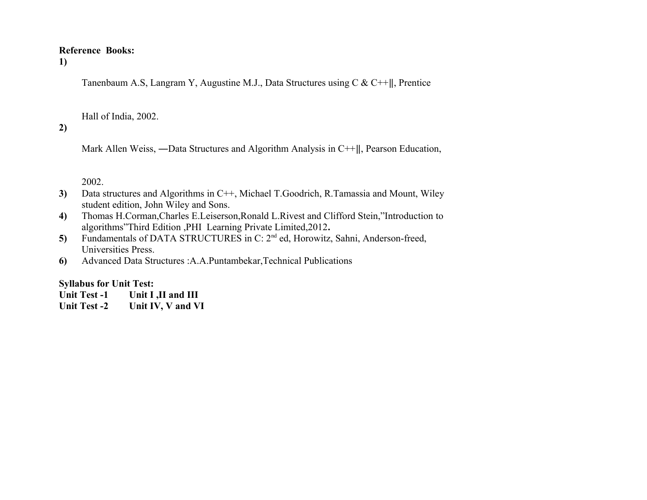#### **Reference Books:**

#### **1)**

Tanenbaum A.S, Langram Y, Augustine M.J., Data Structures using C & C++‖, Prentice

Hall of India, 2002.

#### **2)**

Mark Allen Weiss, —Data Structures and Algorithm Analysis in C++||, Pearson Education,

2002.

- **3)** Data structures and Algorithms in C++, Michael T.Goodrich, R.Tamassia and Mount, Wiley student edition, John Wiley and Sons.
- **4)** Thomas H.Corman,Charles E.Leiserson,Ronald L.Rivest and Clifford Stein,"Introduction to algorithms"Third Edition ,PHI Learning Private Limited,2012**.**
- **5)** Fundamentals of DATA STRUCTURES in C: 2nd ed, Horowitz, Sahni, Anderson-freed, Universities Press.
- **6)** Advanced Data Structures :A.A.Puntambekar,Technical Publications

#### **Syllabus for Unit Test:**

- Unit Test -1 Unit I ,II and III
- **Unit Test -2 Unit IV, V and VI**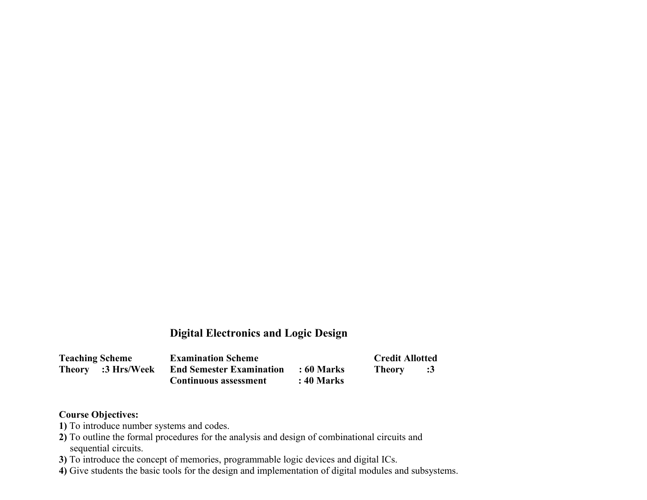# **Digital Electronics and Logic Design**

| <b>Teaching Scheme</b> | <b>Examination Scheme</b>       |            | <b>Credit Allotted</b> |               |
|------------------------|---------------------------------|------------|------------------------|---------------|
| Theory :3 Hrs/Week     | <b>End Semester Examination</b> | : 60 Marks | <b>Theory</b>          | $\mathbf{.3}$ |
|                        | <b>Continuous assessment</b>    | : 40 Marks |                        |               |

### **Course Objectives:**

- **1)** To introduce number systems and codes.
- **2)** To outline the formal procedures for the analysis and design of combinational circuits and sequential circuits.
- **3)** To introduce the concept of memories, programmable logic devices and digital ICs.
- **4)** Give students the basic tools for the design and implementation of digital modules and subsystems.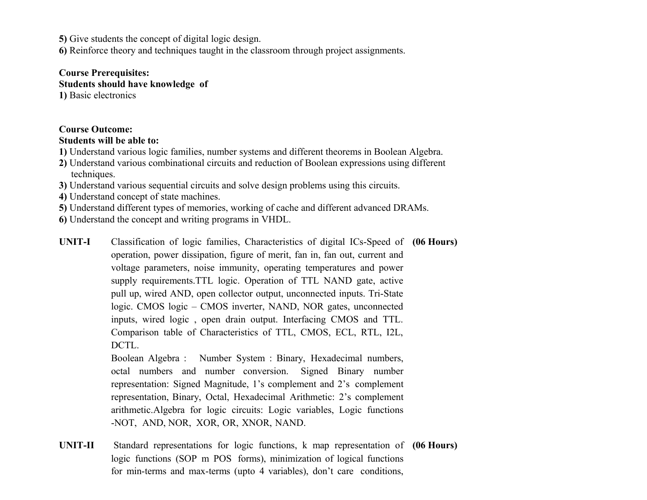**5)** Give students the concept of digital logic design.

**6)** Reinforce theory and techniques taught in the classroom through project assignments.

#### **Course Prerequisites:**

**Students should have knowledge of**

**1)** Basic electronics

### **Course Outcome:**

#### **Students will be able to:**

- **1)** Understand various logic families, number systems and different theorems in Boolean Algebra.
- **2)** Understand various combinational circuits and reduction of Boolean expressions using different techniques.
- **3)** Understand various sequential circuits and solve design problems using this circuits.
- **4)** Understand concept of state machines.
- **5)** Understand different types of memories, working of cache and different advanced DRAMs.
- **6)** Understand the concept and writing programs in VHDL.
- **UNIT-I** Classification of logic families, Characteristics of digital ICs-Speed of **(06 Hours)** operation, power dissipation, figure of merit, fan in, fan out, current and voltage parameters, noise immunity, operating temperatures and power supply requirements.TTL logic. Operation of TTL NAND gate, active pull up, wired AND, open collector output, unconnected inputs. Tri-State logic. CMOS logic – CMOS inverter, NAND, NOR gates, unconnected inputs, wired logic , open drain output. Interfacing CMOS and TTL. Comparison table of Characteristics of TTL, CMOS, ECL, RTL, I2L, DCTL.

Boolean Algebra : Number System : Binary, Hexadecimal numbers, octal numbers and number conversion. Signed Binary number representation: Signed Magnitude, 1's complement and 2's complement representation, Binary, Octal, Hexadecimal Arithmetic: 2's complement arithmetic.Algebra for logic circuits: Logic variables, Logic functions -NOT, AND, NOR, XOR, OR, XNOR, NAND.

**UNIT-II** Standard representations for logic functions, k map representation of **(06 Hours)**logic functions (SOP m POS forms), minimization of logical functions for min-terms and max-terms (upto 4 variables), don't care conditions,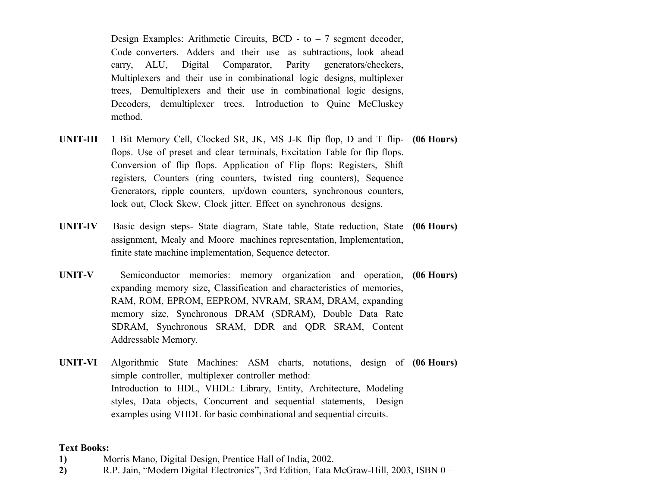Design Examples: Arithmetic Circuits,  $BCD - to - 7$  segment decoder, Code converters. Adders and their use as subtractions, look ahead carry, ALU, Digital Comparator, Parity generators/checkers, Multiplexers and their use in combinational logic designs, multiplexer trees, Demultiplexers and their use in combinational logic designs, Decoders, demultiplexer trees. Introduction to Quine McCluskey method.

- **UNIT-III** 1 Bit Memory Cell, Clocked SR, JK, MS J-K flip flop, D and T flip-**(06 Hours)** flops. Use of preset and clear terminals, Excitation Table for flip flops. Conversion of flip flops. Application of Flip flops: Registers, Shift registers, Counters (ring counters, twisted ring counters), Sequence Generators, ripple counters, up/down counters, synchronous counters, lock out, Clock Skew, Clock jitter. Effect on synchronous designs.
- **UNIT-IV** Basic design steps- State diagram, State table, State reduction, State **(06 Hours)** assignment, Mealy and Moore machines representation, Implementation, finite state machine implementation, Sequence detector.
- **UNIT-V** Semiconductor memories: memory organization and operation, **(06 Hours)** expanding memory size, Classification and characteristics of memories, RAM, ROM, EPROM, EEPROM, NVRAM, SRAM, DRAM, expanding memory size, Synchronous DRAM (SDRAM), Double Data Rate SDRAM, Synchronous SRAM, DDR and QDR SRAM, Content Addressable Memory.
- **UNIT-VI** Algorithmic State Machines: ASM charts, notations, design of **(06 Hours)** simple controller, multiplexer controller method: Introduction to HDL, VHDL: Library, Entity, Architecture, Modeling styles, Data objects, Concurrent and sequential statements, Design examples using VHDL for basic combinational and sequential circuits.

#### **Text Books:**

- **1)** Morris Mano, Digital Design, Prentice Hall of India, 2002.
- **2)** R.P. Jain, "Modern Digital Electronics", 3rd Edition, Tata McGraw-Hill, 2003, ISBN 0 –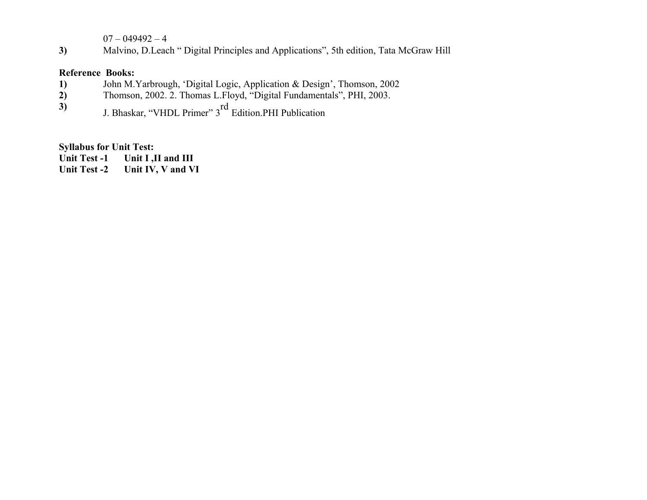$07 - 049492 - 4$ 

**3)** Malvino, D.Leach " Digital Principles and Applications", 5th edition, Tata McGraw Hill

#### **Reference Books:**

- **1)** John M.Yarbrough, 'Digital Logic, Application & Design', Thomson, 2002
- **2)** Thomson, 2002. 2. Thomas L.Floyd, "Digital Fundamentals", PHI, 2003.
- **3)** J. Bhaskar, "VHDL Primer" 3<sup>rd</sup> Edition.PHI Publication

#### **Syllabus for Unit Test:**

Unit Test -1 Unit I, II and III

**Unit Test -2 Unit IV, V and VI**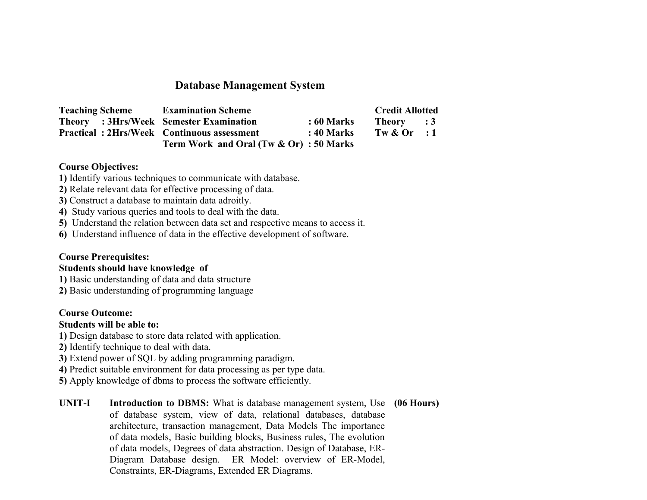# **Database Management System**

| <b>Teaching Scheme</b>                         | <b>Examination Scheme</b>                         |             | <b>Credit Allotted</b> |  |
|------------------------------------------------|---------------------------------------------------|-------------|------------------------|--|
| <b>Theory</b> : 3Hrs/Week Semester Examination |                                                   | $:60$ Marks | Theory : 3             |  |
|                                                | <b>Practical: 2Hrs/Week Continuous assessment</b> | : 40 Marks  | Tw $&$ Or : 1          |  |
|                                                | Term Work and Oral (Tw & Or): 50 Marks            |             |                        |  |

#### **Course Objectives:**

- **1)** Identify various techniques to communicate with database.
- **2)** Relate relevant data for effective processing of data.
- **3)** Construct a database to maintain data adroitly.
- **4)** Study various queries and tools to deal with the data.
- **5)** Understand the relation between data set and respective means to access it.
- **6)** Understand influence of data in the effective development of software.

#### **Course Prerequisites:**

#### **Students should have knowledge of**

- **1)** Basic understanding of data and data structure
- **2)** Basic understanding of programming language

#### **Course Outcome:**

#### **Students will be able to:**

- **1)** Design database to store data related with application.
- **2)** Identify technique to deal with data.
- **3)** Extend power of SQL by adding programming paradigm.
- **4)** Predict suitable environment for data processing as per type data.
- **5)** Apply knowledge of dbms to process the software efficiently.

**UNIT-I Introduction to DBMS:** What is database management system, Use of database system, view of data, relational databases, database architecture, transaction management, Data Models The importance of data models, Basic building blocks, Business rules, The evolution of data models, Degrees of data abstraction. Design of Database, ER-Diagram Database design. ER Model: overview of ER-Model, Constraints, ER-Diagrams, Extended ER Diagrams. **(06 Hours)**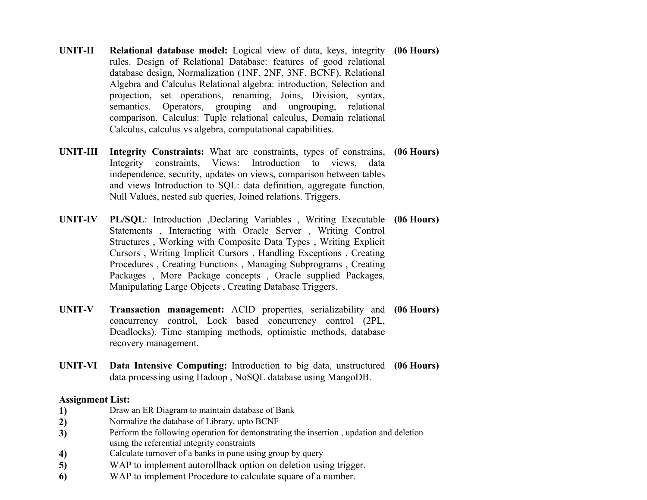- **UNIT-II Relational database model:** Logical view of data, keys, integrity rules. Design of Relational Database: features of good relational database design, Normalization (1NF, 2NF, 3NF, BCNF). Relational Algebra and Calculus Relational algebra: introduction, Selection and projection, set operations, renaming, Joins, Division, syntax, semantics. Operators, grouping and ungrouping, relational comparison. Calculus: Tuple relational calculus, Domain relational Calculus, calculus vs algebra, computational capabilities. **(06 Hours)**
- **UNIT-III Integrity Constraints:** What are constraints, types of constrains, **(06 Hours)** Integrity constraints, Views: Introduction to views, data independence, security, updates on views, comparison between tables and views Introduction to SQL: data definition, aggregate function, Null Values, nested sub queries, Joined relations. Triggers.
- **UNIT-IV PL/SQL**: Introduction ,Declaring Variables , Writing Executable **(06 Hours)** Statements , Interacting with Oracle Server , Writing Control Structures , Working with Composite Data Types , Writing Explicit Cursors , Writing Implicit Cursors , Handling Exceptions , Creating Procedures , Creating Functions , Managing Subprograms , Creating Packages , More Package concepts , Oracle supplied Packages, Manipulating Large Objects , Creating Database Triggers.
- **UNIT-V Transaction management:** ACID properties, serializability and **(06 Hours)** concurrency control, Lock based concurrency control (2PL, Deadlocks), Time stamping methods, optimistic methods, database recovery management.
- **UNIT-VI Data Intensive Computing:** Introduction to big data, unstructured **(06 Hours)** data processing using Hadoop , NoSQL database using MangoDB.

#### **Assignment List:**

- **1)** Draw an ER Diagram to maintain database of Bank
- **2)** Normalize the database of Library, upto BCNF
- **3)** Perform the following operation for demonstrating the insertion , updation and deletion using the referential integrity constraints
- **4)** Calculate turnover of a banks in pune using group by query
- **5)** WAP to implement autorollback option on deletion using trigger.
- **6)** WAP to implement Procedure to calculate square of a number.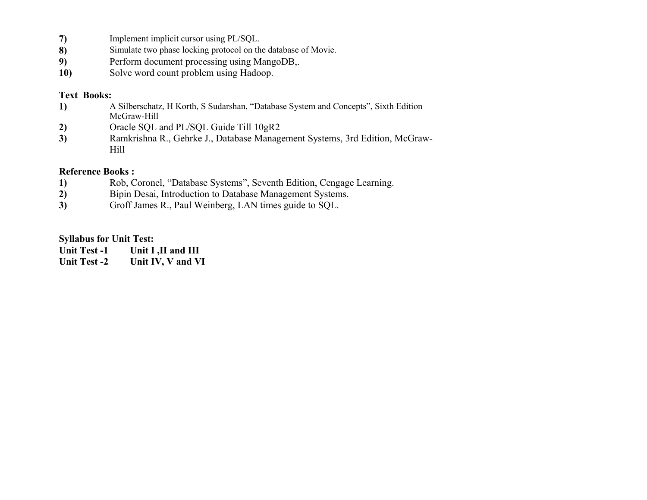- **7)** Implement implicit cursor using PL/SQL.<br>**8)** Simulate two phase locking protocol on the
- **8)** Simulate two phase locking protocol on the database of Movie.
- **9)** Perform document processing using MangoDB,.
- **10)** Solve word count problem using Hadoop.

#### **Text Books:**

- **1)** A Silberschatz, H Korth, S Sudarshan, "Database System and Concepts", Sixth Edition McGraw-Hill
- **2)** [Oracle SQL and PL/SQL Guide Till 10gR2](http://www.google.co.in/aclk?sa=L&ai=Ci7DmaUrjVKbYPNjUuAT754GACa7yjf8Gpt2R14UC9vCG67YDCAQQASgFYOXq5oO8DsgBB6oEJE_QYP90DfrW-imxglA9hs9qTc9PPsonFxujHQyqPveLto_X8cAFBaAGJoAH_o7POpAHAagHpr4b2AcB4BKvlrXbhPaCmCk&sig=AOD64_2GQMAYLu_VnRvTja1yGmQCisPRDg&ctype=5&rct=j&q=&ved=0CCIQvhc&adurl=http://5231.xg4ken.com/media/redir.php%3Fprof%3D432%26camp%3D89%26affcode%3Dpg6790%26k_inner_url_encoded%3D0%26cid%3D70241246710%26networkType%3Dsearch%26kdv%3Dc%26kpid%3D8131807258%26url%3Dhttp://www.amazon.in/Oracle-SQL-Guide-Till-10gR2/dp/8131807258%253Ftag%253Dgooginhydr18418-21%26tag%3Dgooginkenshoo-21%26ascsubtag%3D_kenshoo_clickid_)
- **3)** Ramkrishna R., Gehrke J., Database Management Systems, 3rd Edition, McGraw-Hill

#### **Reference Books :**

- **1)** Rob, Coronel, "Database Systems", Seventh Edition, Cengage Learning.
- **2)** Bipin Desai, Introduction to Database Management Systems.
- **3)** Groff James R., Paul Weinberg, LAN times guide to SQL.

#### **Syllabus for Unit Test:**

| <b>Unit Test -1</b> | Unit I, II and III |
|---------------------|--------------------|
| <b>Unit Test -2</b> | Unit IV, V and VI  |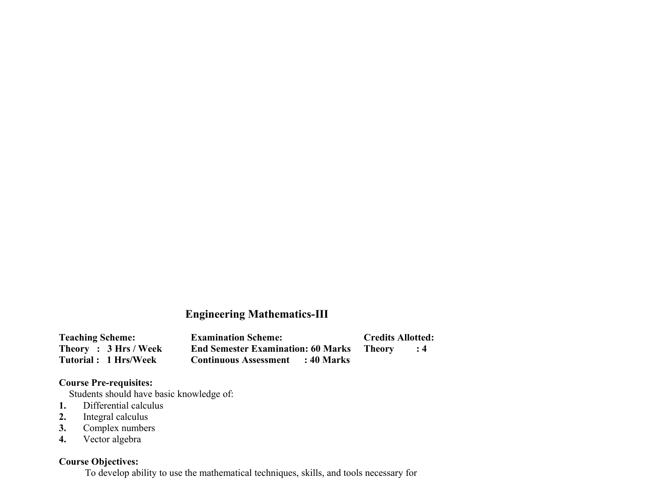# **Engineering Mathematics-III**

| <b>Teaching Scheme:</b> | <b>Examination Scheme:</b>                | <b>Credits Allotted:</b> |
|-------------------------|-------------------------------------------|--------------------------|
| Theory: 3 Hrs / Week    | <b>End Semester Examination: 60 Marks</b> | - Theory                 |
| Tutorial: 1 Hrs/Week    | <b>Continuous Assessment</b> : 40 Marks   |                          |

### **Course Pre-requisites:**

**Students should have basic knowledge of:** 

- **1.** Differential calculus
- **2.** Integral calculus
- **3.** Complex numbers
- **4.** Vector algebra

#### **Course Objectives:**

To develop ability to use the mathematical techniques, skills, and tools necessary for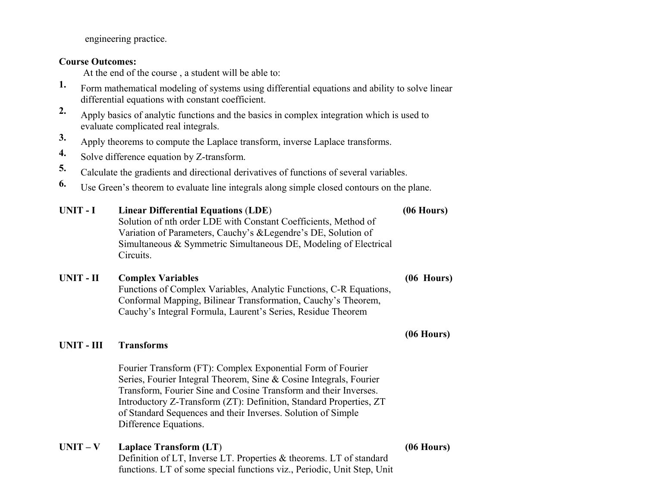engineering practice.

#### **Course Outcomes:**

At the end of the course , a student will be able to:

- **1.** Form mathematical modeling of systems using differential equations and ability to solve linear differential equations with constant coefficient.
- **2.** Apply basics of analytic functions and the basics in complex integration which is used to evaluate complicated real integrals.
- **3.** Apply theorems to compute the Laplace transform, inverse Laplace transforms.
- **4.** Solve difference equation by Z-transform.
- **5.** Calculate the gradients and directional derivatives of functions of several variables.
- **6.** Use Green's theorem to evaluate line integrals along simple closed contours on the plane.

| UNIT - I | <b>Linear Differential Equations (LDE)</b>                       | $(06$ Hours) |
|----------|------------------------------------------------------------------|--------------|
|          | Solution of nth order LDE with Constant Coefficients, Method of  |              |
|          | Variation of Parameters, Cauchy's & Legendre's DE, Solution of   |              |
|          | Simultaneous & Symmetric Simultaneous DE, Modeling of Electrical |              |
|          | Circuits.                                                        |              |
|          |                                                                  |              |

# **UNIT - II Complex Variables (06 Hours)** Functions of Complex Variables, Analytic Functions, C-R Equations, Conformal Mapping, Bilinear Transformation, Cauchy's Theorem, Cauchy's Integral Formula, Laurent's Series, Residue Theorem

# **(06 Hours)**

#### **UNIT - III Transforms**

Fourier Transform (FT): Complex Exponential Form of Fourier Series, Fourier Integral Theorem, Sine & Cosine Integrals, Fourier Transform, Fourier Sine and Cosine Transform and their Inverses. Introductory Z-Transform (ZT): Definition, Standard Properties, ZT of Standard Sequences and their Inverses. Solution of Simple Difference Equations.

#### **UNIT – V Laplace Transform (LT**) **(06 Hours)**

Definition of LT, Inverse LT. Properties & theorems. LT of standard functions. LT of some special functions viz., Periodic, Unit Step, Unit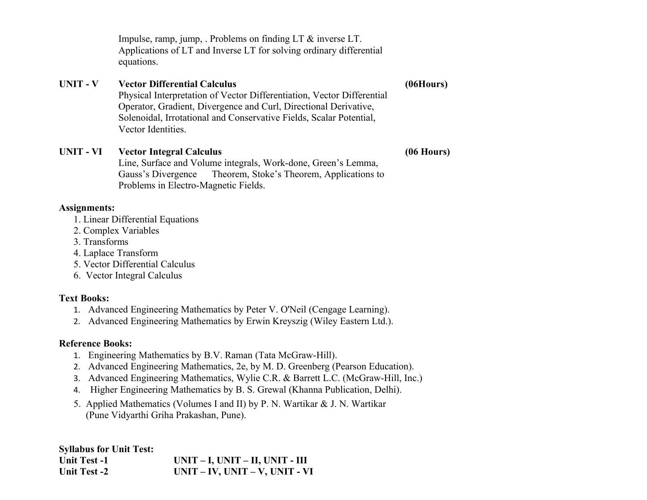Impulse, ramp, jump, . Problems on finding LT & inverse LT. Applications of LT and Inverse LT for solving ordinary differential equations.

#### **UNIT - V Vector Differential Calculus (06Hours)**

Physical Interpretation of Vector Differentiation, Vector Differential Operator, Gradient, Divergence and Curl, Directional Derivative, Solenoidal, Irrotational and Conservative Fields, Scalar Potential, Vector Identities.

#### **UNIT - VI Vector Integral Calculus (06 Hours)**

Line, Surface and Volume integrals, Work-done, Green's Lemma, Gauss's Divergence Theorem, Stoke's Theorem, Applications to Problems in Electro-Magnetic Fields.

#### **Assignments:**

- 1. Linear Differential Equations
- 2. Complex Variables
- 3. Transforms
- 4. Laplace Transform
- 5. Vector Differential Calculus
- 6. Vector Integral Calculus

### **Text Books:**

- 1. Advanced Engineering Mathematics by Peter V. O'Neil (Cengage Learning).
- 2. Advanced Engineering Mathematics by Erwin Kreyszig (Wiley Eastern Ltd.).

### **Reference Books:**

- 1. Engineering Mathematics by B.V. Raman (Tata McGraw-Hill).
- 2. Advanced Engineering Mathematics, 2e, by M. D. Greenberg (Pearson Education).
- 3. Advanced Engineering Mathematics, Wylie C.R. & Barrett L.C. (McGraw-Hill, Inc.)
- 4. Higher Engineering Mathematics by B. S. Grewal (Khanna Publication, Delhi).
- 5. Applied Mathematics (Volumes I and II) by P. N. Wartikar & J. N. Wartikar (Pune Vidyarthi Griha Prakashan, Pune).

**Syllabus for Unit Test: Unit Test -1 UNIT – I, UNIT – II, UNIT - III Unit Test -2 UNIT – IV, UNIT – V, UNIT - VI**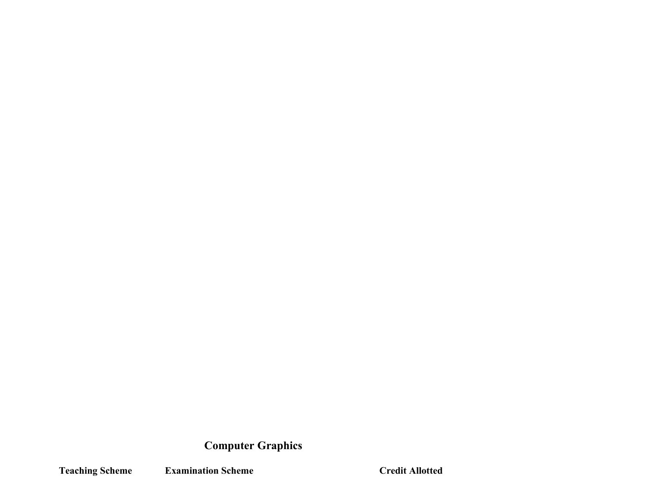# **Computer Graphics**

**Teaching Scheme Examination Scheme Credit Allotted**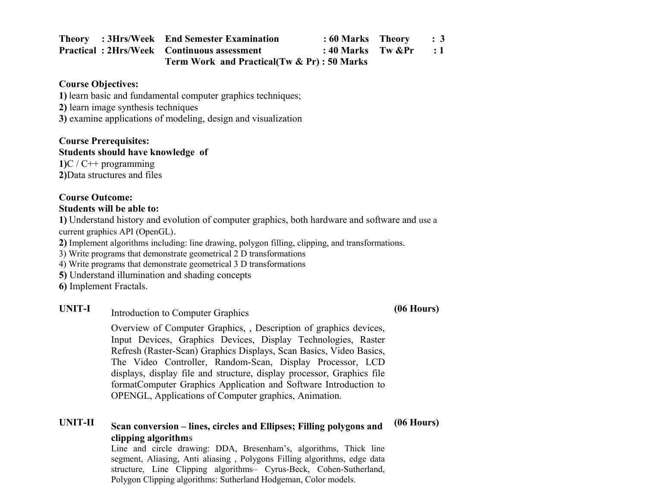|  | <b>Theory</b> : 3Hrs/Week End Semester Examination | $: 60$ Marks Theory $: 3$ |  |  |
|--|----------------------------------------------------|---------------------------|--|--|
|  | <b>Practical: 2Hrs/Week Continuous assessment</b>  | : 40 Marks Tw $\⪻$ : 1    |  |  |
|  | Term Work and Practical (Tw & Pr) : 50 Marks       |                           |  |  |

#### **Course Objectives:**

**1)** learn basic and fundamental computer graphics techniques;

**2)** learn image synthesis techniques

**3)** examine applications of modeling, design and visualization

#### **Course Prerequisites:**

#### **Students should have knowledge of**

**1)**C / C++ programming **2)**Data structures and files

#### **Course Outcome:**

#### **Students will be able to:**

**1)** Understand history and evolution of computer graphics, both hardware and software and use a current graphics API (OpenGL).

**2)** Implement algorithms including: line drawing, polygon filling, clipping, and transformations.

3) Write programs that demonstrate geometrical 2 D transformations

- 4) Write programs that demonstrate geometrical 3 D transformations
- **5)** Understand illumination and shading concepts

**6)** Implement Fractals.

# UNIT-I Introduction to Computer Graphics **(06 Hours)**

Overview of Computer Graphics, , Description of graphics devices, Input Devices, Graphics Devices, Display Technologies, Raster Refresh (Raster-Scan) Graphics Displays, Scan Basics, Video Basics, The Video Controller, Random-Scan, Display Processor, LCD displays, display file and structure, display processor, Graphics file formatComputer Graphics Application and Software Introduction to OPENGL, Applications of Computer graphics, Animation.

#### **UNIT-II Scan conversion – lines, circles and Ellipses; Filling polygons and clipping algorithm**s **(06 Hours)**

Line and circle drawing: DDA, Bresenham's, algorithms, Thick line segment, Aliasing, Anti aliasing , Polygons Filling algorithms, edge data structure, Line Clipping algorithms– Cyrus-Beck, Cohen-Sutherland, Polygon Clipping algorithms: Sutherland Hodgeman, Color models.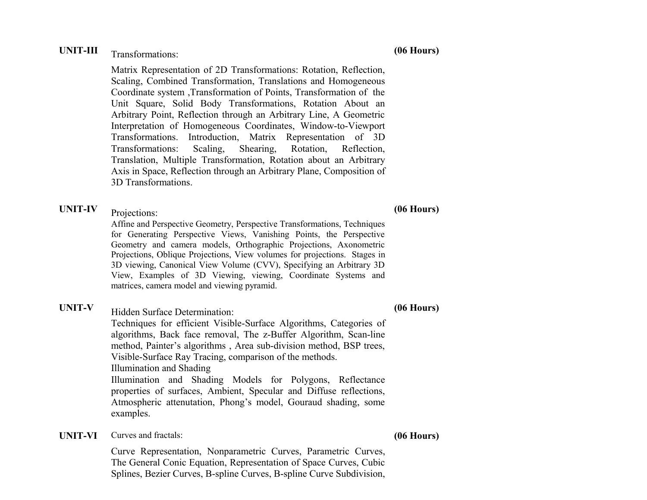# UNIT-III Transformations: **(06 Hours)**

Matrix Representation of 2D Transformations: Rotation, Reflection, Scaling, Combined Transformation, Translations and Homogeneous Coordinate system ,Transformation of Points, Transformation of the Unit Square, Solid Body Transformations, Rotation About an Arbitrary Point, Reflection through an Arbitrary Line, A Geometric Interpretation of Homogeneous Coordinates, Window-to-Viewport Transformations. Introduction, Matrix Representation of 3D Transformations: Scaling, Shearing, Rotation, Reflection, Translation, Multiple Transformation, Rotation about an Arbitrary Axis in Space, Reflection through an Arbitrary Plane, Composition of 3D Transformations.

**UNIT-IV** Projections: **(06 Hours)**

Affine and Perspective Geometry, Perspective Transformations, Techniques for Generating Perspective Views, Vanishing Points, the Perspective Geometry and camera models, Orthographic Projections, Axonometric Projections, Oblique Projections, View volumes for projections. Stages in 3D viewing, Canonical View Volume (CVV), Specifying an Arbitrary 3D View, Examples of 3D Viewing, viewing, Coordinate Systems and matrices, camera model and viewing pyramid.

**UNIT-V** Hidden Surface Determination: **(06 Hours)**

Techniques for efficient Visible-Surface Algorithms, Categories of algorithms, Back face removal, The z-Buffer Algorithm, Scan-line method, Painter's algorithms , Area sub-division method, BSP trees, Visible-Surface Ray Tracing, comparison of the methods. Illumination and Shading Illumination and Shading Models for Polygons, Reflectance properties of surfaces, Ambient, Specular and Diffuse reflections, Atmospheric attenutation, Phong's model, Gouraud shading, some examples.

**UNIT-VI** Curves and fractals: **(06 Hours)**

Curve Representation, Nonparametric Curves, Parametric Curves, The General Conic Equation, Representation of Space Curves, Cubic Splines, Bezier Curves, B-spline Curves, B-spline Curve Subdivision,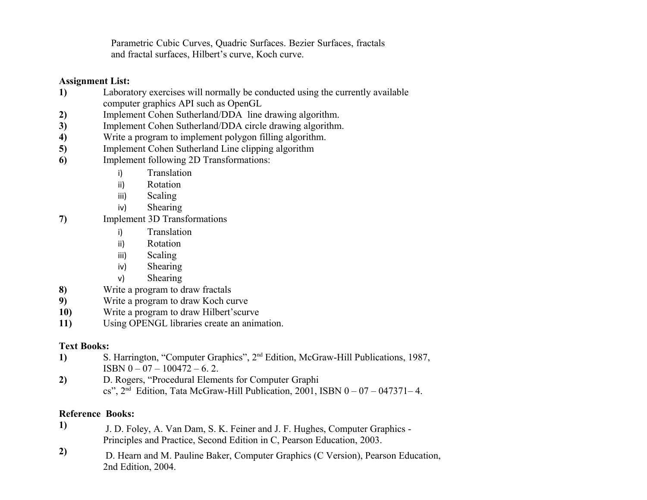Parametric Cubic Curves, Quadric Surfaces. Bezier Surfaces, fractals and fractal surfaces, Hilbert's curve, Koch curve.

#### **Assignment List:**

- **1)** Laboratory exercises will normally be conducted using the currently available computer graphics API such as OpenGL
- **2)** Implement Cohen Sutherland/DDA line drawing algorithm.
- **3)** Implement Cohen Sutherland/DDA circle drawing algorithm.
- **4)** Write a program to implement polygon filling algorithm.
- **5)** Implement Cohen Sutherland Line clipping algorithm
- **6)** Implement following 2D Transformations:
	- i) Translation
	- ii) Rotation
	- iii) Scaling
	- iv) Shearing
- **7)** Implement 3D Transformations
	- i) Translation
	- ii) Rotation
	- iii) Scaling
	- iv) Shearing
	- v) Shearing
- **8)** Write a program to draw fractals
- **9)** Write a program to draw Koch curve
- **10)** Write a program to draw Hilbert'scurve
- **11)** Using OPENGL libraries create an animation.

#### **Text Books:**

- **1)** S. Harrington, "Computer Graphics", 2nd Edition, McGraw-Hill Publications, 1987,  $ISBN 0 - 07 - 100472 - 6.2.$
- **2)** D. Rogers, "Procedural Elements for Computer Graphi cs",  $2<sup>nd</sup>$  Edition, Tata McGraw-Hill Publication, 2001, ISBN 0 – 07 – 047371–4.

#### **Reference Books:**

- **1)** J. D. Foley, A. Van Dam, S. K. Feiner and J. F. Hughes, Computer Graphics Principles and Practice, Second Edition in C, Pearson Education, 2003.
- **2)** D. Hearn and M. Pauline Baker, Computer Graphics (C Version), Pearson Education, 2nd Edition, 2004.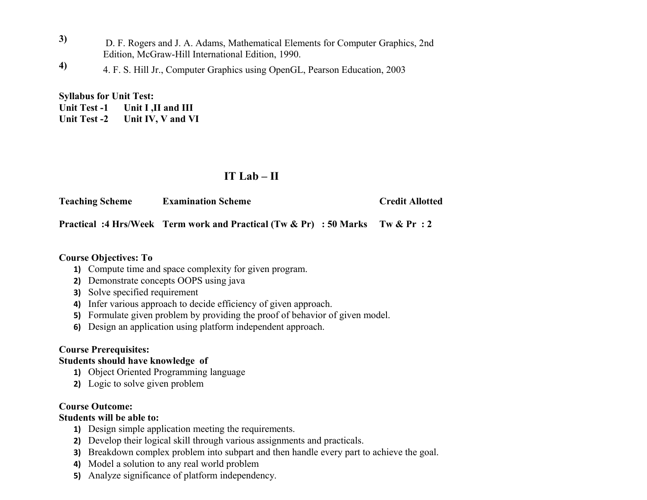- **3)** D. F. Rogers and J. A. Adams, Mathematical Elements for Computer Graphics, 2nd Edition, McGraw-Hill International Edition, 1990.
- **4)** 4. F. S. Hill Jr., Computer Graphics using OpenGL, Pearson Education, 2003

**Syllabus for Unit Test:** 

Unit Test -1 Unit I .II and III **Unit Test -2 Unit IV, V and VI**

# **IT Lab – II**

**Teaching Scheme Examination Scheme Credit Allotted**

**Practical :4 Hrs/Week Term work and Practical (Tw & Pr) : 50 Marks Tw & Pr : 2**

#### **Course Objectives: To**

- **1)** Compute time and space complexity for given program.
- **2)** Demonstrate concepts OOPS using java
- **3)** Solve specified requirement
- **4)** Infer various approach to decide efficiency of given approach.
- **5)** Formulate given problem by providing the proof of behavior of given model.
- **6)** Design an application using platform independent approach.

### **Course Prerequisites:**

### **Students should have knowledge of**

- **1)** Object Oriented Programming language
- **2)** Logic to solve given problem

### **Course Outcome:**

### **Students will be able to:**

- **1)** Design simple application meeting the requirements.
- **2)** Develop their logical skill through various assignments and practicals.
- **3)** Breakdown complex problem into subpart and then handle every part to achieve the goal.
- **4)** Model a solution to any real world problem
- **5)** Analyze significance of platform independency.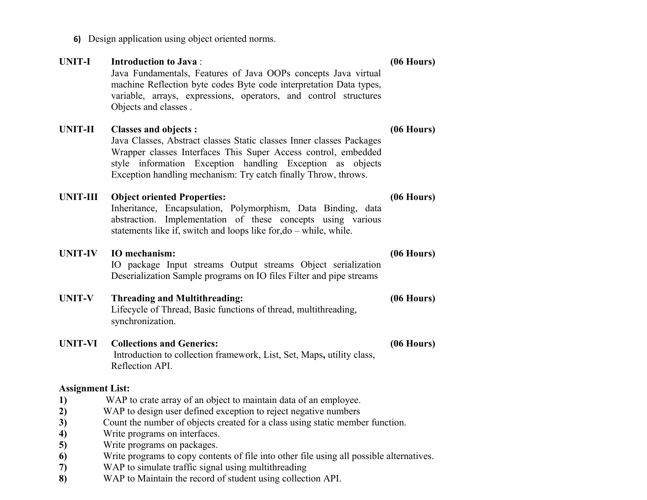**6)** Design application using object oriented norms.

| <b>UNIT-I</b>           | <b>Introduction to Java:</b><br>Java Fundamentals, Features of Java OOPs concepts Java virtual<br>machine Reflection byte codes Byte code interpretation Data types,<br>variable, arrays, expressions, operators, and control structures<br>Objects and classes.                                     | $(06$ Hours $)$ |  |
|-------------------------|------------------------------------------------------------------------------------------------------------------------------------------------------------------------------------------------------------------------------------------------------------------------------------------------------|-----------------|--|
| <b>UNIT-II</b>          | <b>Classes and objects:</b><br>Java Classes, Abstract classes Static classes Inner classes Packages<br>Wrapper classes Interfaces This Super Access control, embedded<br>style information Exception handling Exception as objects<br>Exception handling mechanism: Try catch finally Throw, throws. | $(06$ Hours $)$ |  |
| <b>UNIT-III</b>         | <b>Object oriented Properties:</b><br>Inheritance, Encapsulation, Polymorphism, Data Binding, data<br>abstraction. Implementation of these concepts using various<br>statements like if, switch and loops like for, do – while, while.                                                               | $(06$ Hours)    |  |
| <b>UNIT-IV</b>          | IO mechanism:<br>IO package Input streams Output streams Object serialization<br>Deserialization Sample programs on IO files Filter and pipe streams                                                                                                                                                 | $(06$ Hours)    |  |
| <b>UNIT-V</b>           | <b>Threading and Multithreading:</b><br>Lifecycle of Thread, Basic functions of thread, multithreading,<br>synchronization.                                                                                                                                                                          | $(06$ Hours)    |  |
| <b>UNIT-VI</b>          | <b>Collections and Generics:</b><br>Introduction to collection framework, List, Set, Maps, utility class,<br>Reflection API.                                                                                                                                                                         | $(06$ Hours)    |  |
| <b>Assignment List:</b> |                                                                                                                                                                                                                                                                                                      |                 |  |
| 1)                      | WAP to crate array of an object to maintain data of an employee.                                                                                                                                                                                                                                     |                 |  |
| 2)                      | WAP to design user defined exception to reject negative numbers                                                                                                                                                                                                                                      |                 |  |
| 3)                      | Count the number of objects created for a class using static member function.                                                                                                                                                                                                                        |                 |  |
| 4)                      | Write programs on interfaces.                                                                                                                                                                                                                                                                        |                 |  |

- **5)** Write programs on packages.
- **6)** Write programs to copy contents of file into other file using all possible alternatives.
- **7)** WAP to simulate traffic signal using multithreading
- **8)** WAP to Maintain the record of student using collection API.